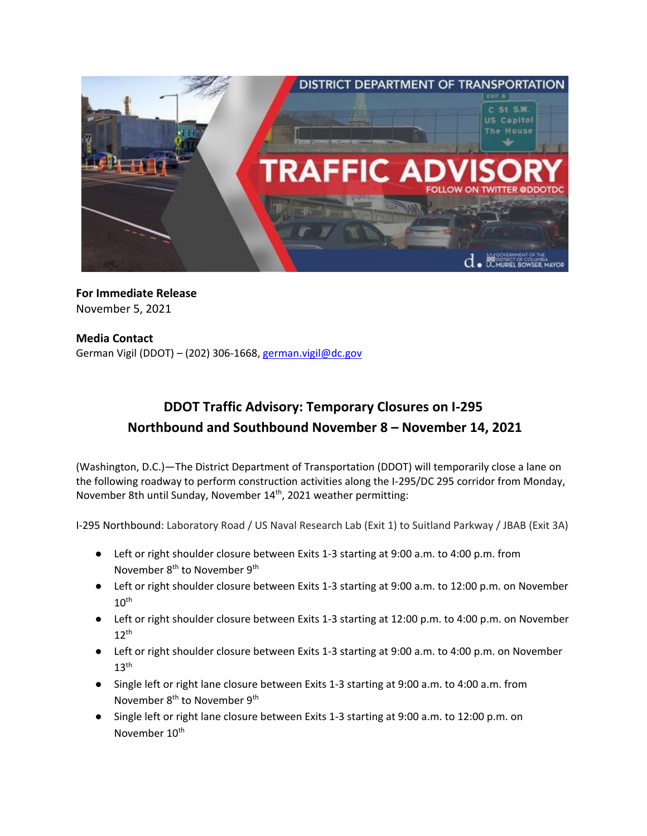

## **For Immediate Release** November 5, 2021

## **Media Contact** German Vigil (DDOT) – (202) 306-1668, [german.vigil@dc.gov](mailto:german.vigil@dc.gov)

## **DDOT Traffic Advisory: Temporary Closures on I-295 Northbound and Southbound November 8 – November 14, 2021**

(Washington, D.C.)—The District Department of Transportation (DDOT) will temporarily close a lane on the following roadway to perform construction activities along the I-295/DC 295 corridor from Monday, November 8th until Sunday, November 14<sup>th</sup>, 2021 weather permitting:

I-295 Northbound: Laboratory Road / US Naval Research Lab (Exit 1) to Suitland Parkway / JBAB (Exit 3A)

- Left or right shoulder closure between Exits 1-3 starting at 9:00 a.m. to 4:00 p.m. from November 8<sup>th</sup> to November 9<sup>th</sup>
- Left or right shoulder closure between Exits 1-3 starting at 9:00 a.m. to 12:00 p.m. on November  $10<sup>th</sup>$
- Left or right shoulder closure between Exits 1-3 starting at 12:00 p.m. to 4:00 p.m. on November  $12<sup>th</sup>$
- Left or right shoulder closure between Exits 1-3 starting at 9:00 a.m. to 4:00 p.m. on November  $13<sup>th</sup>$
- Single left or right lane closure between Exits 1-3 starting at 9:00 a.m. to 4:00 a.m. from November 8<sup>th</sup> to November 9<sup>th</sup>
- Single left or right lane closure between Exits 1-3 starting at 9:00 a.m. to 12:00 p.m. on November 10<sup>th</sup>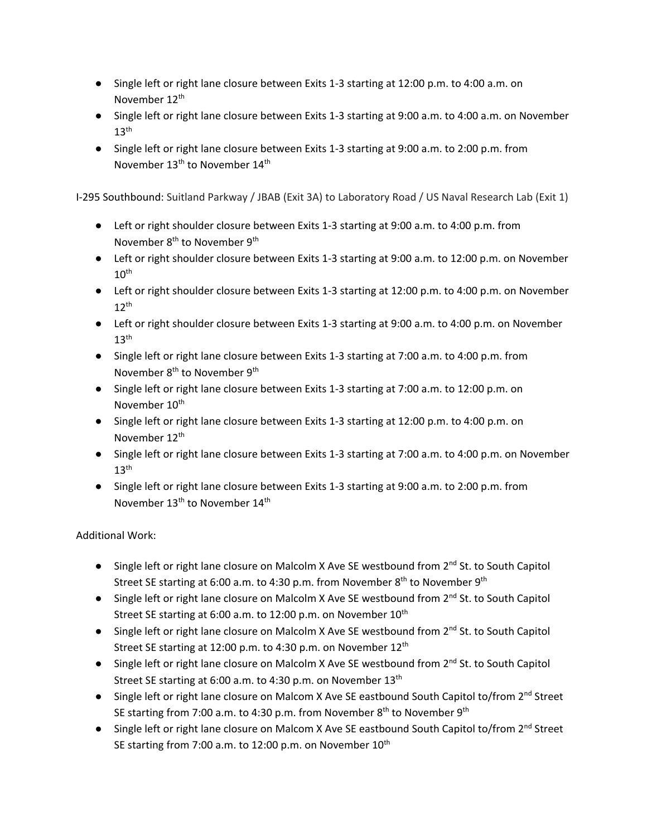- Single left or right lane closure between Exits 1-3 starting at 12:00 p.m. to 4:00 a.m. on November 12<sup>th</sup>
- Single left or right lane closure between Exits 1-3 starting at 9:00 a.m. to 4:00 a.m. on November  $13<sup>th</sup>$
- Single left or right lane closure between Exits 1-3 starting at 9:00 a.m. to 2:00 p.m. from November 13<sup>th</sup> to November 14<sup>th</sup>

I-295 Southbound: Suitland Parkway / JBAB (Exit 3A) to Laboratory Road / US Naval Research Lab (Exit 1)

- Left or right shoulder closure between Exits 1-3 starting at 9:00 a.m. to 4:00 p.m. from November 8<sup>th</sup> to November 9<sup>th</sup>
- Left or right shoulder closure between Exits 1-3 starting at 9:00 a.m. to 12:00 p.m. on November  $10^{\text{th}}$
- Left or right shoulder closure between Exits 1-3 starting at 12:00 p.m. to 4:00 p.m. on November  $12^{th}$
- Left or right shoulder closure between Exits 1-3 starting at 9:00 a.m. to 4:00 p.m. on November  $13<sup>th</sup>$
- Single left or right lane closure between Exits 1-3 starting at 7:00 a.m. to 4:00 p.m. from November 8<sup>th</sup> to November 9<sup>th</sup>
- Single left or right lane closure between Exits 1-3 starting at 7:00 a.m. to 12:00 p.m. on November 10<sup>th</sup>
- Single left or right lane closure between Exits 1-3 starting at 12:00 p.m. to 4:00 p.m. on November 12<sup>th</sup>
- Single left or right lane closure between Exits 1-3 starting at 7:00 a.m. to 4:00 p.m. on November  $13<sup>th</sup>$
- Single left or right lane closure between Exits 1-3 starting at 9:00 a.m. to 2:00 p.m. from November 13<sup>th</sup> to November 14<sup>th</sup>

Additional Work:

- Single left or right lane closure on Malcolm X Ave SE westbound from  $2^{nd}$  St. to South Capitol Street SE starting at 6:00 a.m. to 4:30 p.m. from November 8<sup>th</sup> to November 9<sup>th</sup>
- Single left or right lane closure on Malcolm X Ave SE westbound from  $2^{nd}$  St. to South Capitol Street SE starting at 6:00 a.m. to 12:00 p.m. on November 10<sup>th</sup>
- Single left or right lane closure on Malcolm X Ave SE westbound from 2<sup>nd</sup> St. to South Capitol Street SE starting at 12:00 p.m. to 4:30 p.m. on November 12<sup>th</sup>
- Single left or right lane closure on Malcolm X Ave SE westbound from  $2^{nd}$  St. to South Capitol Street SE starting at 6:00 a.m. to 4:30 p.m. on November 13<sup>th</sup>
- Single left or right lane closure on Malcom X Ave SE eastbound South Capitol to/from 2<sup>nd</sup> Street SE starting from 7:00 a.m. to 4:30 p.m. from November 8<sup>th</sup> to November 9<sup>th</sup>
- Single left or right lane closure on Malcom X Ave SE eastbound South Capitol to/from 2<sup>nd</sup> Street SE starting from 7:00 a.m. to 12:00 p.m. on November 10<sup>th</sup>